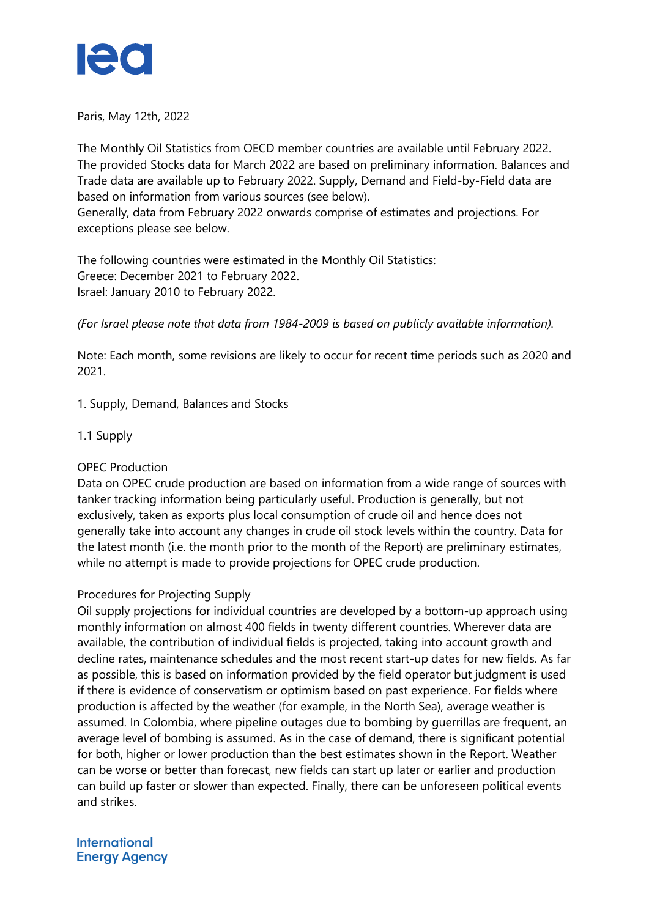

Paris, May 12th, 2022

The Monthly Oil Statistics from OECD member countries are available until February 2022. The provided Stocks data for March 2022 are based on preliminary information. Balances and Trade data are available up to February 2022. Supply, Demand and Field-by-Field data are based on information from various sources (see below). Generally, data from February 2022 onwards comprise of estimates and projections. For exceptions please see below.

The following countries were estimated in the Monthly Oil Statistics: Greece: December 2021 to February 2022. Israel: January 2010 to February 2022.

*(For Israel please note that data from 1984-2009 is based on publicly available information).*

Note: Each month, some revisions are likely to occur for recent time periods such as 2020 and 2021.

1. Supply, Demand, Balances and Stocks

1.1 Supply

# OPEC Production

Data on OPEC crude production are based on information from a wide range of sources with tanker tracking information being particularly useful. Production is generally, but not exclusively, taken as exports plus local consumption of crude oil and hence does not generally take into account any changes in crude oil stock levels within the country. Data for the latest month (i.e. the month prior to the month of the Report) are preliminary estimates, while no attempt is made to provide projections for OPEC crude production.

### Procedures for Projecting Supply

Oil supply projections for individual countries are developed by a bottom-up approach using monthly information on almost 400 fields in twenty different countries. Wherever data are available, the contribution of individual fields is projected, taking into account growth and decline rates, maintenance schedules and the most recent start-up dates for new fields. As far as possible, this is based on information provided by the field operator but judgment is used if there is evidence of conservatism or optimism based on past experience. For fields where production is affected by the weather (for example, in the North Sea), average weather is assumed. In Colombia, where pipeline outages due to bombing by guerrillas are frequent, an average level of bombing is assumed. As in the case of demand, there is significant potential for both, higher or lower production than the best estimates shown in the Report. Weather can be worse or better than forecast, new fields can start up later or earlier and production can build up faster or slower than expected. Finally, there can be unforeseen political events and strikes.

### **International Energy Agency**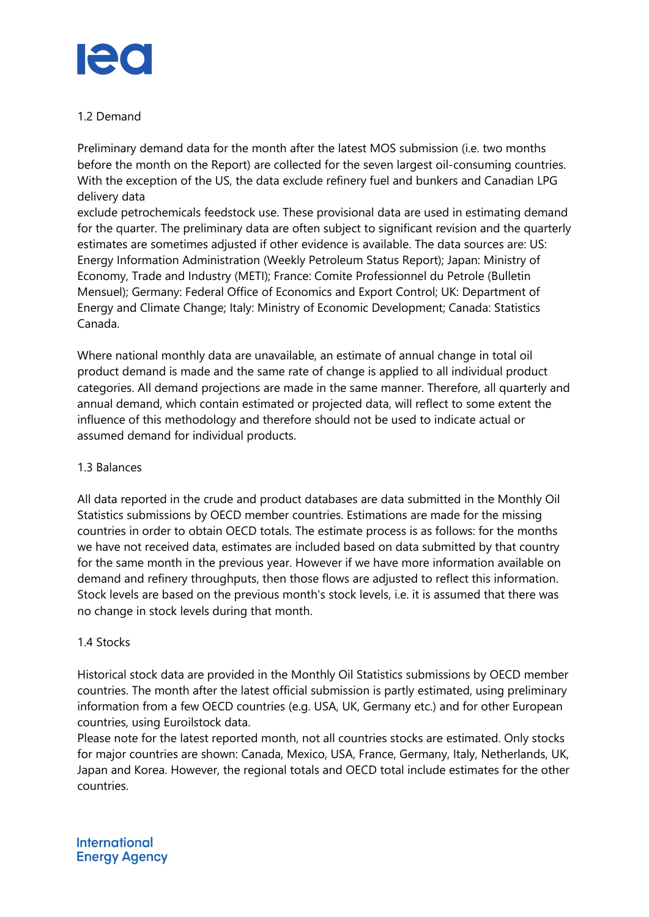

## 1.2 Demand

Preliminary demand data for the month after the latest MOS submission (i.e. two months before the month on the Report) are collected for the seven largest oil-consuming countries. With the exception of the US, the data exclude refinery fuel and bunkers and Canadian LPG delivery data

exclude petrochemicals feedstock use. These provisional data are used in estimating demand for the quarter. The preliminary data are often subject to significant revision and the quarterly estimates are sometimes adjusted if other evidence is available. The data sources are: US: Energy Information Administration (Weekly Petroleum Status Report); Japan: Ministry of Economy, Trade and Industry (METI); France: Comite Professionnel du Petrole (Bulletin Mensuel); Germany: Federal Office of Economics and Export Control; UK: Department of Energy and Climate Change; Italy: Ministry of Economic Development; Canada: Statistics Canada.

Where national monthly data are unavailable, an estimate of annual change in total oil product demand is made and the same rate of change is applied to all individual product categories. All demand projections are made in the same manner. Therefore, all quarterly and annual demand, which contain estimated or projected data, will reflect to some extent the influence of this methodology and therefore should not be used to indicate actual or assumed demand for individual products.

# 1.3 Balances

All data reported in the crude and product databases are data submitted in the Monthly Oil Statistics submissions by OECD member countries. Estimations are made for the missing countries in order to obtain OECD totals. The estimate process is as follows: for the months we have not received data, estimates are included based on data submitted by that country for the same month in the previous year. However if we have more information available on demand and refinery throughputs, then those flows are adjusted to reflect this information. Stock levels are based on the previous month's stock levels, i.e. it is assumed that there was no change in stock levels during that month.

### 1.4 Stocks

Historical stock data are provided in the Monthly Oil Statistics submissions by OECD member countries. The month after the latest official submission is partly estimated, using preliminary information from a few OECD countries (e.g. USA, UK, Germany etc.) and for other European countries, using Euroilstock data.

Please note for the latest reported month, not all countries stocks are estimated. Only stocks for major countries are shown: Canada, Mexico, USA, France, Germany, Italy, Netherlands, UK, Japan and Korea. However, the regional totals and OECD total include estimates for the other countries.

**International Energy Agency**